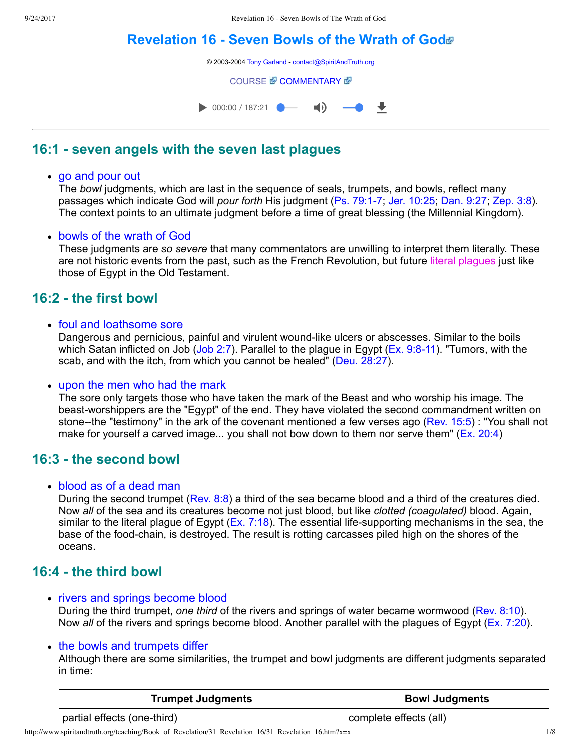# **[Revelation](http://www.spiritandtruth.org/teaching/Book_of_Revelation/31_Revelation_16/index.htm) 16 Seven Bowls of the Wrath of God**

© 2003-2004 [Tony Garland](http://www.spiritandtruth.org/teaching/teachers/tony_garland/bio.htm) - [contact@SpiritAndTruth.org](mailto:contact@SpiritAndTruth.org?subject=ST-MAIL:%20Revelation%2016%20-%20Seven%20Bowls%20of%20the%20Wrath%20of%20God)

**[COURSE](http://www.spiritandtruth.org/teaching/Book_of_Revelation/31_Revelation_16/index.htm) & [COMMENTARY](http://www.spiritandtruth.org/teaching/Book_of_Revelation/commentary/htm/index.html?Revelation_16) &** 



### **16:1 seven angels with the seven last plagues**

#### • go and pour out

The *bowl* judgments, which are last in the sequence of seals, trumpets, and bowls, reflect many passages which indicate God will *pour forth* His judgment (Ps. 79:1-7; [Jer. 10:25](http://www.spiritandtruth.org/bibles/nasb/b24c010.htm#Jer._C10V25); [Dan. 9:27;](http://www.spiritandtruth.org/bibles/nasb/b27c009.htm#Dan._C9V27) [Zep. 3:8\)](http://www.spiritandtruth.org/bibles/nasb/b36c003.htm#Zep._C3V8). The context points to an ultimate judgment before a time of great blessing (the Millennial Kingdom).

### bowls of the wrath of God

These judgments are *so severe* that many commentators are unwilling to interpret them literally. These are not historic events from the past, such as the French Revolution, but future literal plagues just like those of Egypt in the Old Testament.

### **16:2 the first bowl**

### • foul and loathsome sore

Dangerous and pernicious, painful and virulent wound-like ulcers or abscesses. Similar to the boils which Satan inflicted on Job [\(Job 2:7\)](http://www.spiritandtruth.org/bibles/nasb/b18c002.htm#Job_C2V7). Parallel to the plague in Egypt ( $Ex. 9:8-11$ ). "Tumors, with the scab, and with the itch, from which you cannot be healed" [\(Deu. 28:27\)](http://www.spiritandtruth.org/bibles/nasb/b05c028.htm#Deu._C28V27).

### upon the men who had the mark

The sore only targets those who have taken the mark of the Beast and who worship his image. The beast-worshippers are the "Egypt" of the end. They have violated the second commandment written on stone--the "testimony" in the ark of the covenant mentioned a few verses ago ([Rev. 15:5\)](http://www.spiritandtruth.org/bibles/nasb/b66c015.htm#Rev._C15V5) : "You shall not make for yourself a carved image... you shall not bow down to them nor serve them" ([Ex. 20:4](http://www.spiritandtruth.org/bibles/nasb/b02c020.htm#Ex._C20V4))

### **16:3 the second bowl**

### blood as of a dead man

During the second trumpet [\(Rev. 8:8](http://www.spiritandtruth.org/bibles/nasb/b66c008.htm#Rev._C8V8)) a third of the sea became blood and a third of the creatures died. Now *all* of the sea and its creatures become not just blood, but like *clotted (coagulated)* blood. Again, similar to the literal plague of Egypt ( $Ex. 7:18$ ). The essential life-supporting mechanisms in the sea, the base of the food-chain, is destroyed. The result is rotting carcasses piled high on the shores of the oceans.

### **16:4 the third bowl**

• rivers and springs become blood

During the third trumpet, *one third* of the rivers and springs of water became wormwood ([Rev. 8:10\)](http://www.spiritandtruth.org/bibles/nasb/b66c008.htm#Rev._C8V10). Now *all* of the rivers and springs become blood. Another parallel with the plagues of Egypt [\(Ex. 7:20](http://www.spiritandtruth.org/bibles/nasb/b02c007.htm#Ex._C7V20)).

### • the bowls and trumpets differ

Although there are some similarities, the trumpet and bowl judgments are different judgments separated in time:

| <b>Trumpet Judgments</b>    | <b>Bowl Judgments</b>  |
|-----------------------------|------------------------|
| partial effects (one-third) | complete effects (all) |

http://www.spiritandtruth.org/teaching/Book\_of\_Revelation/31\_Revelation\_16/31\_Revelation\_16.htm?x=x 1/8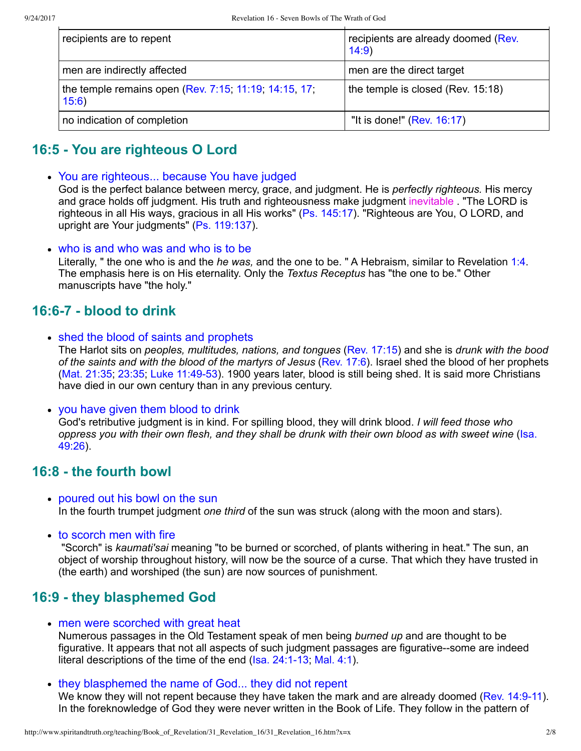| recipients are to repent                                       | recipients are already doomed (Rev.<br>14:9 |
|----------------------------------------------------------------|---------------------------------------------|
| men are indirectly affected                                    | men are the direct target                   |
| the temple remains open (Rev. 7:15, 11:19, 14:15, 17,<br>15:6) | the temple is closed (Rev. 15:18)           |
| no indication of completion                                    | "It is done!" (Rev. $16:17$ )               |

## **16:5 You are righteous O Lord**

You are righteous... because You have judged

God is the perfect balance between mercy, grace, and judgment. He is *perfectly righteous.* His mercy and grace holds off judgment. His truth and righteousness make judgment inevitable . "The LORD is righteous in all His ways, gracious in all His works" ([Ps. 145:17](http://www.spiritandtruth.org/bibles/nasb/b19c145.htm#Ps._C145V17)). "Righteous are You, O LORD, and upright are Your judgments" [\(Ps. 119:137](http://www.spiritandtruth.org/bibles/nasb/b19c119.htm#Ps._C119V137)).

who is and who was and who is to be

Literally, " the one who is and the *he was,* and the one to be. " A Hebraism, similar to Revelation [1:4](http://www.spiritandtruth.org/bibles/nasb/b66c001.htm#Rev._C1V4). The emphasis here is on His eternality. Only the *Textus Receptus* has "the one to be." Other manuscripts have "the holy."

### **16:67 blood to drink**

• shed the blood of saints and prophets

The Harlot sits on *peoples, multitudes, nations, and tongues* ([Rev. 17:15](http://www.spiritandtruth.org/bibles/nasb/b66c017.htm#Rev._C17V15)) and she is *drunk with the bood of the saints and with the blood of the martyrs of Jesus* [\(Rev. 17:6](http://www.spiritandtruth.org/bibles/nasb/b66c017.htm#Rev._C17V6)). Israel shed the blood of her prophets [\(Mat. 21:35](http://www.spiritandtruth.org/bibles/nasb/b40c021.htm#Mat._C21V35); [23:35;](http://www.spiritandtruth.org/bibles/nasb/b40c023.htm#Mat._C23V35) Luke 11:49-53). 1900 years later, blood is still being shed. It is said more Christians have died in our own century than in any previous century.

• you have given them blood to drink

God's retributive judgment is in kind. For spilling blood, they will drink blood. *I will feed those who* [oppress you with their own flesh, and they shall be drunk with their own blood as with sweet wine](http://www.spiritandtruth.org/bibles/nasb/b23c049.htm#Isa._C49V26) (Isa. 49:26).

### **16:8 the fourth bowl**

- poured out his bowl on the sun In the fourth trumpet judgment *one third* of the sun was struck (along with the moon and stars).
- to scorch men with fire

 "Scorch" is *kaumati'sai* meaning "to be burned or scorched, of plants withering in heat." The sun, an object of worship throughout history, will now be the source of a curse. That which they have trusted in (the earth) and worshiped (the sun) are now sources of punishment.

## **16:9 they blasphemed God**

• men were scorched with great heat

Numerous passages in the Old Testament speak of men being *burned up* and are thought to be figurative. It appears that not all aspects of such judgment passages are figurative--some are indeed literal descriptions of the time of the end  $(Isa. 24:1-13; Mal. 4:1)$  $(Isa. 24:1-13; Mal. 4:1)$ .

• they blasphemed the name of God... they did not repent

We know they will not repent because they have taken the mark and are already doomed (Rev. 14:9-11). In the foreknowledge of God they were never written in the Book of Life. They follow in the pattern of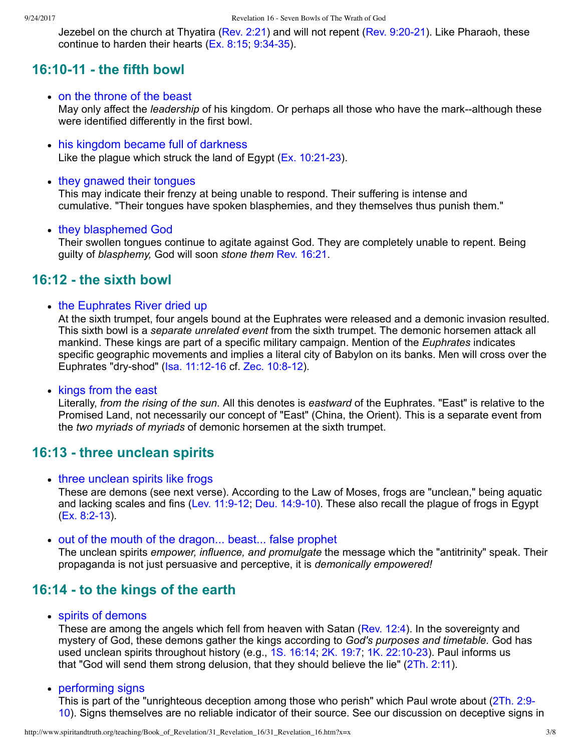#### 9/24/2017 Revelation 16 - Seven Bowls of The Wrath of God

Jezebel on the church at Thyatira ([Rev. 2:21](http://www.spiritandtruth.org/bibles/nasb/b66c002.htm#Rev._C2V21)) and will not repent (Rev. 9:20-21). Like Pharaoh, these continue to harden their hearts  $(Ex. 8:15, 9:34-35)$ .

### **16:1011 the fifth bowl**

#### • on the throne of the beast

May only affect the *leadership* of his kingdom. Or perhaps all those who have the mark--although these were identified differently in the first bowl.

• his kingdom became full of darkness Like the plague which struck the land of Egypt  $(Ex. 10:21-23)$ .

#### • they gnawed their tongues

This may indicate their frenzy at being unable to respond. Their suffering is intense and cumulative. "Their tongues have spoken blasphemies, and they themselves thus punish them."

#### • they blasphemed God

Their swollen tongues continue to agitate against God. They are completely unable to repent. Being guilty of *blasphemy,* God will soon *stone them* [Rev. 16:21.](http://www.spiritandtruth.org/bibles/nasb/b66c016.htm#Rev._C16V21)

### **16:12 the sixth bowl**

#### • the Euphrates River dried up

At the sixth trumpet, four angels bound at the Euphrates were released and a demonic invasion resulted. This sixth bowl is a *separate unrelated event* from the sixth trumpet. The demonic horsemen attack all mankind. These kings are part of a specific military campaign. Mention of the *Euphrates* indicates specific geographic movements and implies a literal city of Babylon on its banks. Men will cross over the Euphrates "dry-shod" (Isa. 11:12-16 cf. Zec. 10:8-12).

• kings from the east

Literally, *from the rising of the sun.* All this denotes is *eastward* of the Euphrates. "East" is relative to the Promised Land, not necessarily our concept of "East" (China, the Orient). This is a separate event from the *two myriads of myriads* of demonic horsemen at the sixth trumpet.

### **16:13 three unclean spirits**

#### • three unclean spirits like frogs

These are demons (see next verse). According to the Law of Moses, frogs are "unclean," being aquatic and lacking scales and fins (Lev. 11:9-12; Deu. 14:9-10). These also recall the plague of frogs in Egypt (Ex. 8:2-13).

• out of the mouth of the dragon... beast... false prophet

The unclean spirits *empower, influence, and promulgate* the message which the "antitrinity" speak. Their propaganda is not just persuasive and perceptive, it is *demonically empowered!*

### **16:14 to the kings of the earth**

spirits of demons

These are among the angels which fell from heaven with Satan ([Rev. 12:4\)](http://www.spiritandtruth.org/bibles/nasb/b66c012.htm#Rev._C12V4). In the sovereignty and mystery of God, these demons gather the kings according to *God's purposes and timetable.* God has used unclean spirits throughout history (e.g., 1S. 16:14, [2K. 19:7;](http://www.spiritandtruth.org/bibles/nasb/b12c019.htm#2K._C19V7) 1K. 22:10-23). Paul informs us that "God will send them strong delusion, that they should believe the lie" [\(2Th. 2:11\)](http://www.spiritandtruth.org/bibles/nasb/b53c002.htm#2Th._C2V11).

#### • performing signs

[This is part of the "unrighteous deception among those who perish" which Paul wrote about \(2Th. 2:9](http://www.spiritandtruth.org/bibles/nasb/b53c002.htm#2Th._C2V9) 10). Signs themselves are no reliable indicator of their source. See our discussion on deceptive signs in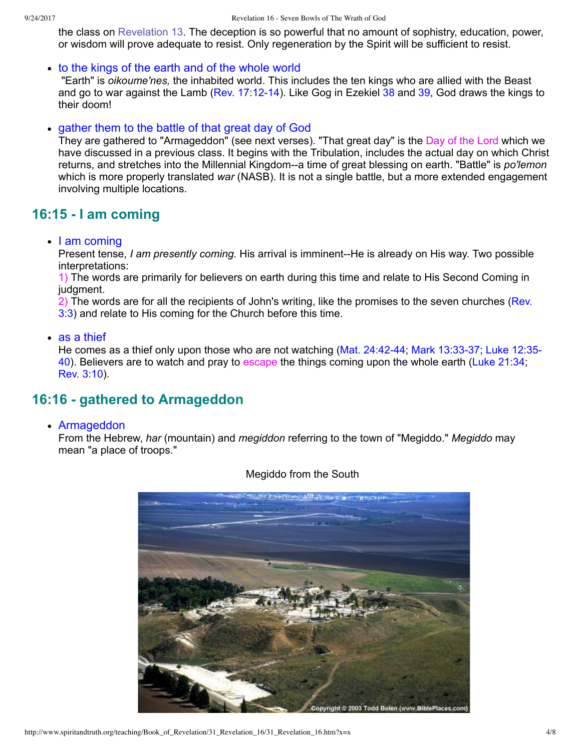the class on [Revelation 13.](http://www.spiritandtruth.org/teaching/Book_of_Revelation/28_Revelation_13/index.htm) The deception is so powerful that no amount of sophistry, education, power, or wisdom will prove adequate to resist. Only regeneration by the Spirit will be sufficient to resist.

#### to the kings of the earth and of the whole world

 "Earth" is *oikoume'nes,* the inhabited world. This includes the ten kings who are allied with the Beast and go to war against the Lamb (Rev. 17:12-14). Like Gog in Ezekiel [38](http://www.spiritandtruth.org/bibles/nasb/b26c038.htm#Eze._C38V1) and [39](http://www.spiritandtruth.org/bibles/nasb/b26c039.htm#Eze._C39V1), God draws the kings to their doom!

### • gather them to the battle of that great day of God

They are gathered to "Armageddon" (see next verses). "That great day" is the Day of the Lord which we have discussed in a previous class. It begins with the Tribulation, includes the actual day on which Christ returns, and stretches into the Millennial Kingdom--a time of great blessing on earth. "Battle" is *po'lemon* which is more properly translated *war* (NASB). It is not a single battle, but a more extended engagement involving multiple locations.

## **16:15 I am coming**

### • I am coming

Present tense, *I am presently coming*. His arrival is imminent--He is already on His way. Two possible interpretations:

1) The words are primarily for believers on earth during this time and relate to His Second Coming in judgment.

[2\) The words are for all the recipients of John's writing, like the promises to the seven churches \(Rev.](http://www.spiritandtruth.org/bibles/nasb/b66c003.htm#Rev._C3V3) 3:3) and relate to His coming for the Church before this time.

### • as a thief

He comes as a thief only upon those who are not watching (Mat. 24:42-44; Mark 13:33-37; Luke 12:35-40). Believers are to watch and pray to escape the things coming upon the whole earth ([Luke 21:34;](http://www.spiritandtruth.org/bibles/nasb/b42c021.htm#Luke_C21V34) [Rev. 3:10](http://www.spiritandtruth.org/bibles/nasb/b66c003.htm#Rev._C3V10)).

## **16:16 gathered to Armageddon**

#### Armageddon

From the Hebrew, *har* (mountain) and *megiddon* referring to the town of "Megiddo." *Megiddo* may mean "a place of troops."



### Megiddo from the South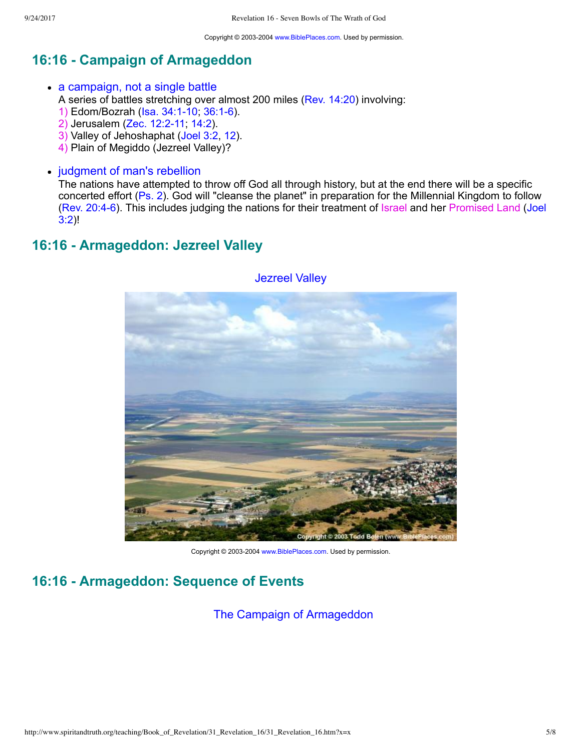Copyright © 2003-2004 [www.BiblePlaces.com](http://www.bibleplaces.com/). Used by permission.

## **16:16 Campaign of Armageddon**

- a campaign, not a single battle
	- A series of battles stretching over almost 200 miles [\(Rev. 14:20](http://www.spiritandtruth.org/bibles/nasb/b66c014.htm#Rev._C14V20)) involving:
	- 1) Edom/Bozrah (Isa. 34:1-10; 36:1-6).
	- 2) Jerusalem (Zec. 12:2-11; [14:2](http://www.spiritandtruth.org/bibles/nasb/b38c014.htm#Zec._C14V2)).
	- 3) Valley of Jehoshaphat ([Joel 3:2](http://www.spiritandtruth.org/bibles/nasb/b29c003.htm#Joel_C3V2), [12](http://www.spiritandtruth.org/bibles/nasb/b29c003.htm#Joel_C3V12)).
	- 4) Plain of Megiddo (Jezreel Valley)?
- judgment of man's rebellion

The nations have attempted to throw off God all through history, but at the end there will be a specific concerted effort [\(Ps. 2](http://www.spiritandtruth.org/bibles/nasb/b19c002.htm#Ps._C2V1)). God will "cleanse the planet" in preparation for the Millennial Kingdom to follow (Rev. 20:4-6). This includes judging the nations for their treatment of Israel and her Promised Land (Joel 3:2)!

### **16:16 Armageddon: Jezreel Valley**



Jezreel Valley

Copyright © 2003-2004 [www.BiblePlaces.com](http://www.bibleplaces.com/). Used by permission.

## **16:16 Armageddon: Sequence of Events**

The Campaign of Armageddon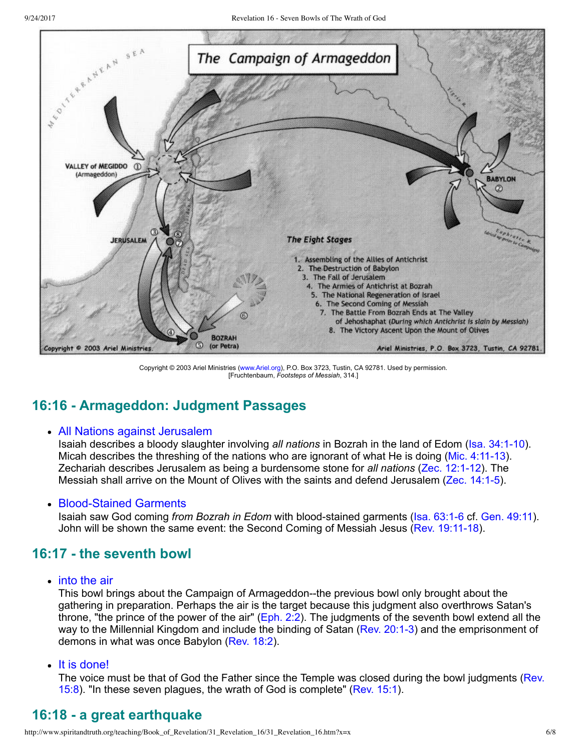

Copyright © 2003 Ariel Ministries [\(www.Ariel.org\)](http://www.ariel.org/), P.O. Box 3723, Tustin, CA 92781. Used by permission. [Fruchtenbaum, *Footsteps of Messiah*, 314.]

## **16:16 Armageddon: Judgment Passages**

### All Nations against Jerusalem

Isaiah describes a bloody slaughter involving *all nations* in Bozrah in the land of Edom (Isa. 34:1-10). Micah describes the threshing of the nations who are ignorant of what He is doing (Mic. 4:11-13). Zechariah describes Jerusalem as being a burdensome stone for *all nations* (Zec. 12:1-12). The Messiah shall arrive on the Mount of Olives with the saints and defend Jerusalem [\(Zec. 14:15](http://www.spiritandtruth.org/bibles/nasb/b38c014.htm#Zec._C14V1)).

### • Blood-Stained Garments

Isaiah saw God coming *from Bozrah in Edom* with blood-stained garments (Isa. 63:1-6 cf. [Gen. 49:11\)](http://www.spiritandtruth.org/bibles/nasb/b01c049.htm#Gen._C49V11). John will be shown the same event: the Second Coming of Messiah Jesus (Rev. 19:11-18).

## **16:17 the seventh bowl**

• into the air

This bowl brings about the Campaign of Armageddon--the previous bowl only brought about the gathering in preparation. Perhaps the air is the target because this judgment also overthrows Satan's throne, "the prince of the power of the air" ([Eph. 2:2](http://www.spiritandtruth.org/bibles/nasb/b49c002.htm#Eph._C2V2)). The judgments of the seventh bowl extend all the way to the Millennial Kingdom and include the binding of Satan (Rev. 20:1-3) and the emprisonment of demons in what was once Babylon ([Rev. 18:2\)](http://www.spiritandtruth.org/bibles/nasb/b66c018.htm#Rev._C18V2).

It is done!

[The voice must be that of God the Father since the Temple was closed during the bowl judgments \(Rev.](http://www.spiritandtruth.org/bibles/nasb/b66c015.htm#Rev._C15V8) 15:8). "In these seven plagues, the wrath of God is complete" ([Rev. 15:1](http://www.spiritandtruth.org/bibles/nasb/b66c015.htm#Rev._C15V1)).

## **16:18 a great earthquake**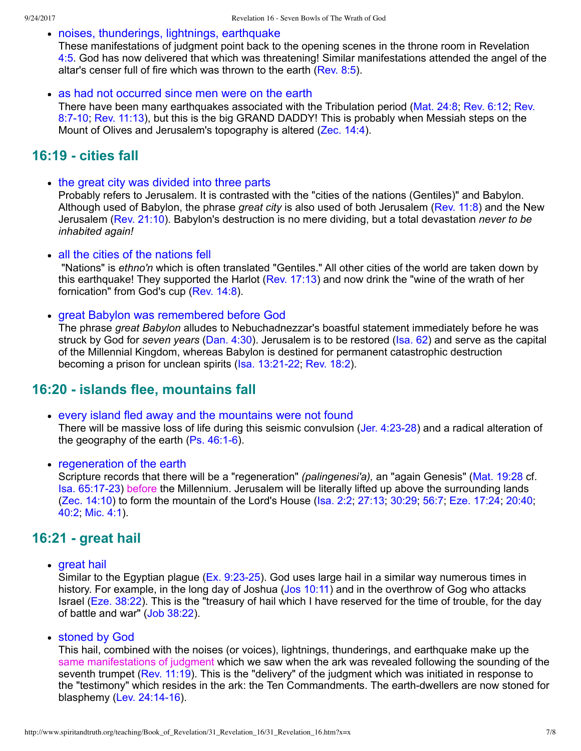• noises, thunderings, lightnings, earthquake

These manifestations of judgment point back to the opening scenes in the throne room in Revelation [4:5](http://www.spiritandtruth.org/bibles/nasb/b66c004.htm#Rev._C4V5). God has now delivered that which was threatening! Similar manifestations attended the angel of the altar's censer full of fire which was thrown to the earth [\(Rev. 8:5](http://www.spiritandtruth.org/bibles/nasb/b66c008.htm#Rev._C8V5)).

• as had not occurred since men were on the earth

[There have been many earthquakes associated with the Tribulation period \(Mat. 24:8; Rev. 6:12; Rev.](http://www.spiritandtruth.org/bibles/nasb/b66c008.htm#Rev._C8V7) 8:7-10; [Rev. 11:13](http://www.spiritandtruth.org/bibles/nasb/b66c011.htm#Rev._C11V13)), but this is the big GRAND DADDY! This is probably when Messiah steps on the Mount of Olives and Jerusalem's topography is altered [\(Zec. 14:4\)](http://www.spiritandtruth.org/bibles/nasb/b38c014.htm#Zec._C14V4).

### **16:19 cities fall**

• the great city was divided into three parts

Probably refers to Jerusalem. It is contrasted with the "cities of the nations (Gentiles)" and Babylon. Although used of Babylon, the phrase *great city* is also used of both Jerusalem [\(Rev. 11:8\)](http://www.spiritandtruth.org/bibles/nasb/b66c011.htm#Rev._C11V8) and the New Jerusalem [\(Rev. 21:10\)](http://www.spiritandtruth.org/bibles/nasb/b66c021.htm#Rev._C21V10). Babylon's destruction is no mere dividing, but a total devastation *never to be inhabited again!*

#### • all the cities of the nations fell

 "Nations" is *ethno'n* which is often translated "Gentiles." All other cities of the world are taken down by this earthquake! They supported the Harlot ([Rev. 17:13\)](http://www.spiritandtruth.org/bibles/nasb/b66c017.htm#Rev._C17V13) and now drink the "wine of the wrath of her fornication" from God's cup ([Rev. 14:8\)](http://www.spiritandtruth.org/bibles/nasb/b66c014.htm#Rev._C14V8).

#### great Babylon was remembered before God

The phrase *great Babylon* alludes to Nebuchadnezzar's boastful statement immediately before he was struck by God for *seven years* [\(Dan. 4:30\)](http://www.spiritandtruth.org/bibles/nasb/b27c004.htm#Dan._C4V30). Jerusalem is to be restored ([Isa. 62](http://www.spiritandtruth.org/bibles/nasb/b23c062.htm#Isa._C62V1)) and serve as the capital of the Millennial Kingdom, whereas Babylon is destined for permanent catastrophic destruction becoming a prison for unclean spirits (Isa. 13:21-22; [Rev. 18:2](http://www.spiritandtruth.org/bibles/nasb/b66c018.htm#Rev._C18V2)).

### **16:20 islands flee, mountains fall**

every island fled away and the mountains were not found

There will be massive loss of life during this seismic convulsion (Jer. 4:23-28) and a radical alteration of the geography of the earth  $(Ps. 46:1-6)$ .

• regeneration of the earth

Scripture records that there will be a "regeneration" *(palingenesi'a)*, an "again Genesis" *[\(Mat. 19:28](http://www.spiritandtruth.org/bibles/nasb/b40c019.htm#Mat._C19V28) cf.* [Isa. 65:1723\)](http://www.spiritandtruth.org/bibles/nasb/b23c065.htm#Isa._C65V17) before the Millennium. Jerusalem will be literally lifted up above the surrounding lands [\(Zec. 14:10](http://www.spiritandtruth.org/bibles/nasb/b38c014.htm#Zec._C14V10)) to form the mountain of the Lord's House [\(Isa. 2:2](http://www.spiritandtruth.org/bibles/nasb/b23c002.htm#Isa._C2V2); [27:13](http://www.spiritandtruth.org/bibles/nasb/b23c027.htm#Isa._C27V13); [30:29](http://www.spiritandtruth.org/bibles/nasb/b23c030.htm#Isa._C30V29); [56:7](http://www.spiritandtruth.org/bibles/nasb/b23c056.htm#Isa._C56V7); [Eze. 17:24;](http://www.spiritandtruth.org/bibles/nasb/b26c017.htm#Eze._C17V24) [20:40;](http://www.spiritandtruth.org/bibles/nasb/b26c020.htm#Eze._C20V40) [40:2](http://www.spiritandtruth.org/bibles/nasb/b26c040.htm#Eze._C40V2); [Mic. 4:1\)](http://www.spiritandtruth.org/bibles/nasb/b33c004.htm#Mic._C4V1).

### **16:21 great hail**

• great hail

Similar to the Egyptian plague (Ex. 9:23-25). God uses large hail in a similar way numerous times in history. For example, in the long day of Joshua ([Jos 10:11\)](http://www.spiritandtruth.org/bibles/nasb/b06c010.htm#Jos._C10V11) and in the overthrow of Gog who attacks Israel ([Eze. 38:22](http://www.spiritandtruth.org/bibles/nasb/b26c038.htm#Eze._C38V22)). This is the "treasury of hail which I have reserved for the time of trouble, for the day of battle and war" [\(Job 38:22](http://www.spiritandtruth.org/bibles/nasb/b18c038.htm#Job_C38V22)).

stoned by God

This hail, combined with the noises (or voices), lightnings, thunderings, and earthquake make up the same manifestations of judgment which we saw when the ark was revealed following the sounding of the seventh trumpet ([Rev. 11:19\)](http://www.spiritandtruth.org/bibles/nasb/b66c011.htm#Rev._C11V19). This is the "delivery" of the judgment which was initiated in response to the "testimony" which resides in the ark: the Ten Commandments. The earth-dwellers are now stoned for blasphemy  $($ Lev. 24:14-16 $)$ .